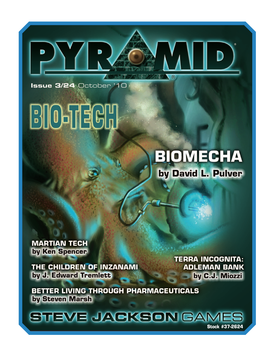Issue 3/24 October '10

## **BIO-TECH**

## **BIOMECHA** by David L. Pulver

 $\circledR$ 

**MARTIAN TECH** by Ken Spencer

THE CHILDREN OF INZANAMI by J. Edward Tremlett

**TERRA INCOGNITA: ADLEMAN BANK** by C.J. Miozzi

BETTER LIVING THROUGH PHARMACEUTICALS by Steven Marsh

STEVE JACKSON GAM **Stock #37-2624**